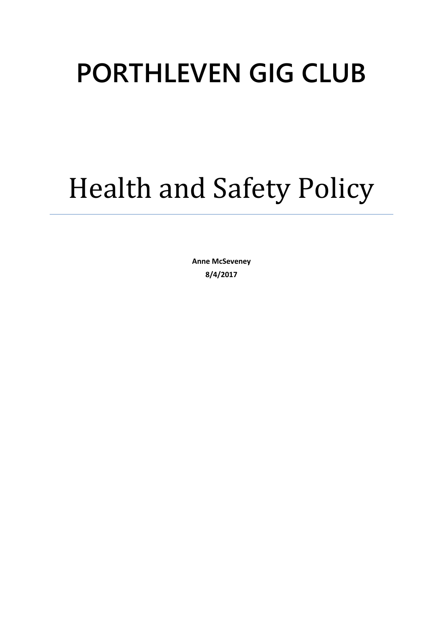# **PORTHLEVEN GIG CLUB**

# Health and Safety Policy

**Anne McSeveney 8/4/2017**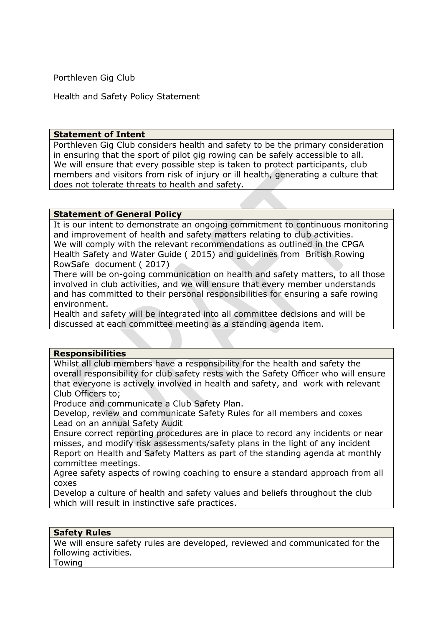Porthleven Gig Club

Health and Safety Policy Statement

#### **Statement of Intent**

Porthleven Gig Club considers health and safety to be the primary consideration in ensuring that the sport of pilot gig rowing can be safely accessible to all. We will ensure that every possible step is taken to protect participants, club members and visitors from risk of injury or ill health, generating a culture that does not tolerate threats to health and safety.

#### **Statement of General Policy**

It is our intent to demonstrate an ongoing commitment to continuous monitoring and improvement of health and safety matters relating to club activities. We will comply with the relevant recommendations as outlined in the CPGA Health Safety and Water Guide ( 2015) and guidelines from British Rowing RowSafe document ( 2017)

There will be on-going communication on health and safety matters, to all those involved in club activities, and we will ensure that every member understands and has committed to their personal responsibilities for ensuring a safe rowing environment.

Health and safety will be integrated into all committee decisions and will be discussed at each committee meeting as a standing agenda item.

### **Responsibilities**

Whilst all club members have a responsibility for the health and safety the overall responsibility for club safety rests with the Safety Officer who will ensure that everyone is actively involved in health and safety, and work with relevant Club Officers to;

Produce and communicate a Club Safety Plan.

Develop, review and communicate Safety Rules for all members and coxes Lead on an annual Safety Audit

Ensure correct reporting procedures are in place to record any incidents or near misses, and modify risk assessments/safety plans in the light of any incident Report on Health and Safety Matters as part of the standing agenda at monthly committee meetings.

Agree safety aspects of rowing coaching to ensure a standard approach from all coxes

Develop a culture of health and safety values and beliefs throughout the club which will result in instinctive safe practices.

### **Safety Rules**

We will ensure safety rules are developed, reviewed and communicated for the following activities. Towing